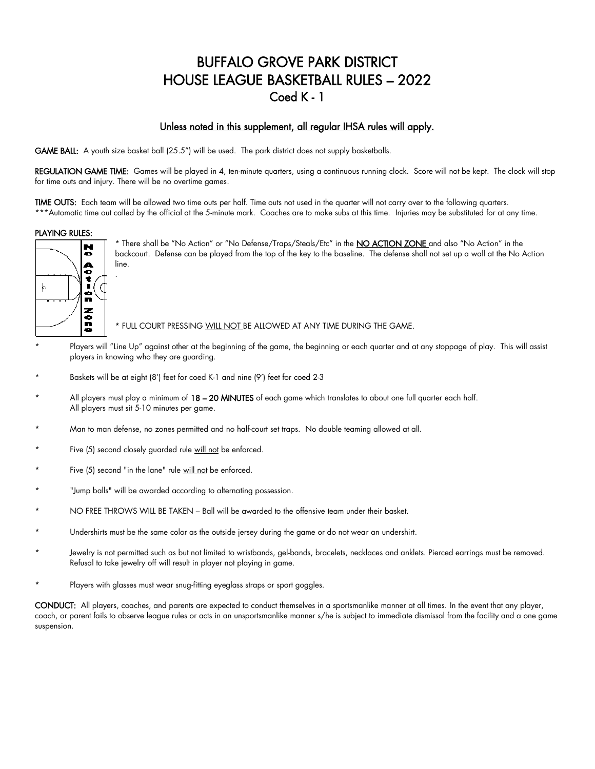# BUFFALO GROVE PARK DISTRICT HOUSE LEAGUE BASKETBALL RULES – 2022 Coed K - 1

#### Unless noted in this supplement, all regular IHSA rules will apply.

GAME BALL: A youth size basket ball (25.5") will be used. The park district does not supply basketballs.

REGULATION GAME TIME: Games will be played in 4, ten-minute quarters, using a continuous running clock. Score will not be kept. The clock will stop for time outs and injury. There will be no overtime games.

TIME OUTS: Each team will be allowed two time outs per half. Time outs not used in the quarter will not carry over to the following quarters. \*\*\*Automatic time out called by the official at the 5-minute mark. Coaches are to make subs at this time. Injuries may be substituted for at any time.

#### PLAYING RULES:



.

\* There shall be "No Action" or "No Defense/Traps/Steals/Etc" in the NO ACTION ZONE and also "No Action" in the backcourt. Defense can be played from the top of the key to the baseline. The defense shall not set up a wall at the No Action line.

\* FULL COURT PRESSING WILL NOT BE ALLOWED AT ANY TIME DURING THE GAME.

- Players will "Line Up" against other at the beginning of the game, the beginning or each quarter and at any stoppage of play. This will assist players in knowing who they are guarding.
- Baskets will be at eight (8') feet for coed K-1 and nine (9') feet for coed 2-3
- All players must play a minimum of  $18 20$  MINUTES of each game which translates to about one full quarter each half. All players must sit 5-10 minutes per game.
- Man to man defense, no zones permitted and no half-court set traps. No double teaming allowed at all.
- Five (5) second closely guarded rule will not be enforced.
- Five (5) second "in the lane" rule will not be enforced.
- "Jump balls" will be awarded according to alternating possession.
- NO FREE THROWS WILL BE TAKEN Ball will be awarded to the offensive team under their basket.
- Undershirts must be the same color as the outside jersey during the game or do not wear an undershirt.
- Jewelry is not permitted such as but not limited to wristbands, gel-bands, bracelets, necklaces and anklets. Pierced earrings must be removed. Refusal to take jewelry off will result in player not playing in game.
- Players with glasses must wear snug-fitting eyeglass straps or sport goggles.

CONDUCT: All players, coaches, and parents are expected to conduct themselves in a sportsmanlike manner at all times. In the event that any player, coach, or parent fails to observe league rules or acts in an unsportsmanlike manner s/he is subject to immediate dismissal from the facility and a one game suspension.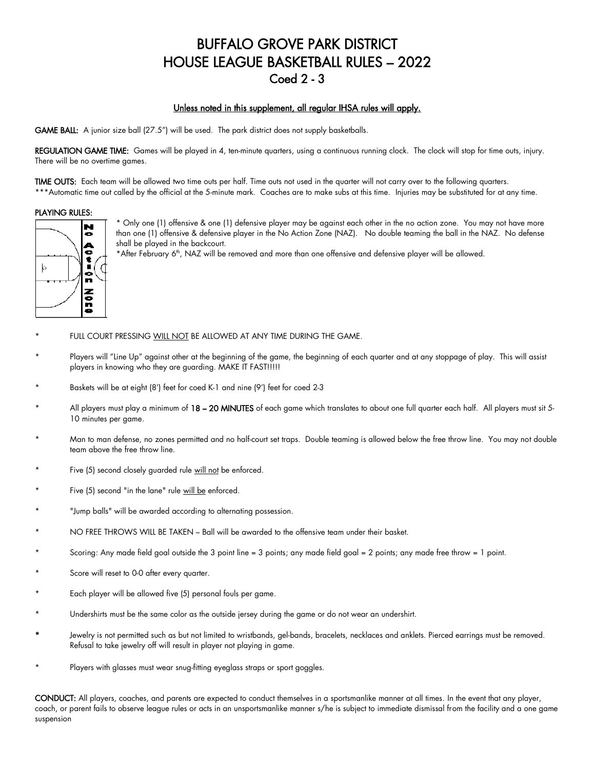# BUFFALO GROVE PARK DISTRICT HOUSE LEAGUE BASKETBALL RULES – 2022 Coed 2 - 3

#### Unless noted in this supplement, all regular IHSA rules will apply.

GAME BALL: A junior size ball (27.5") will be used. The park district does not supply basketballs.

REGULATION GAME TIME: Games will be played in 4, ten-minute quarters, using a continuous running clock. The clock will stop for time outs, injury. There will be no overtime games.

TIME OUTS: Each team will be allowed two time outs per half. Time outs not used in the quarter will not carry over to the following quarters. \*\*\*Automatic time out called by the official at the 5-minute mark. Coaches are to make subs at this time. Injuries may be substituted for at any time.

#### PLAYING RULES:



\* Only one (1) offensive & one (1) defensive player may be against each other in the no action zone. You may not have more than one (1) offensive & defensive player in the No Action Zone (NAZ). No double teaming the ball in the NAZ. No defense shall be played in the backcourt.

\*After February 6<sup>th</sup>, NAZ will be removed and more than one offensive and defensive player will be allowed.

- FULL COURT PRESSING WILL NOT BE ALLOWED AT ANY TIME DURING THE GAME.
- Players will "Line Up" against other at the beginning of the game, the beginning of each quarter and at any stoppage of play. This will assist players in knowing who they are guarding. MAKE IT FAST!!!!!
- Baskets will be at eight (8') feet for coed K-1 and nine (9') feet for coed 2-3
- All players must play a minimum of 18 20 MINUTES of each game which translates to about one full quarter each half. All players must sit 5-10 minutes per game.
- Man to man defense, no zones permitted and no half-court set traps. Double teaming is allowed below the free throw line. You may not double team above the free throw line.
- Five (5) second closely guarded rule will not be enforced.
- Five (5) second "in the lane" rule will be enforced.
- "Jump balls" will be awarded according to alternating possession.
- NO FREE THROWS WILL BE TAKEN Ball will be awarded to the offensive team under their basket.
- Scoring: Any made field goal outside the 3 point line = 3 points; any made field goal = 2 points; any made free throw = 1 point.
- Score will reset to 0-0 after every quarter.
- Each player will be allowed five (5) personal fouls per game.
- Undershirts must be the same color as the outside jersey during the game or do not wear an undershirt.
- Jewelry is not permitted such as but not limited to wristbands, gel-bands, bracelets, necklaces and anklets. Pierced earrings must be removed. Refusal to take jewelry off will result in player not playing in game.
- Players with glasses must wear snug-fitting eyeglass straps or sport goggles.

CONDUCT: All players, coaches, and parents are expected to conduct themselves in a sportsmanlike manner at all times. In the event that any player, coach, or parent fails to observe league rules or acts in an unsportsmanlike manner s/he is subject to immediate dismissal from the facility and a one game suspension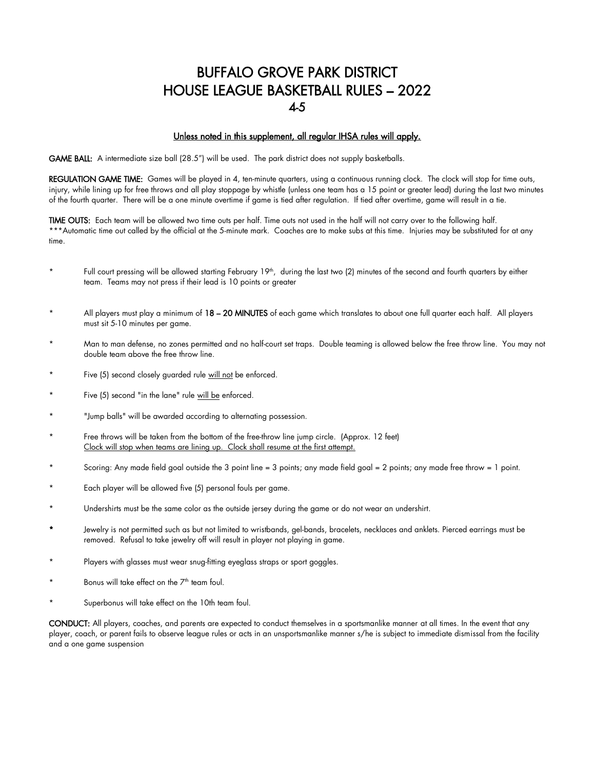## BUFFALO GROVE PARK DISTRICT HOUSE LEAGUE BASKETBALL RULES – 2022 4-5

#### Unless noted in this supplement, all regular IHSA rules will apply.

GAME BALL: A intermediate size ball (28.5") will be used. The park district does not supply basketballs.

REGULATION GAME TIME: Games will be played in 4, ten-minute quarters, using a continuous running clock. The clock will stop for time outs, injury, while lining up for free throws and all play stoppage by whistle (unless one team has a 15 point or greater lead) during the last two minutes of the fourth quarter. There will be a one minute overtime if game is tied after regulation. If tied after overtime, game will result in a tie.

TIME OUTS: Each team will be allowed two time outs per half. Time outs not used in the half will not carry over to the following half. \*\*\*Automatic time out called by the official at the 5-minute mark. Coaches are to make subs at this time. Injuries may be substituted for at any time.

- \* Full court pressing will be allowed starting February 19th , during the last two (2) minutes of the second and fourth quarters by either team. Teams may not press if their lead is 10 points or greater
- All players must play a minimum of 18 20 MINUTES of each game which translates to about one full quarter each half. All players must sit 5-10 minutes per game.
- Man to man defense, no zones permitted and no half-court set traps. Double teaming is allowed below the free throw line. You may not double team above the free throw line.
- Five (5) second closely guarded rule will not be enforced.
- Five (5) second "in the lane" rule will be enforced.
- \* "Jump balls" will be awarded according to alternating possession.
- Free throws will be taken from the bottom of the free-throw line jump circle. (Approx. 12 feet) Clock will stop when teams are lining up. Clock shall resume at the first attempt.
- Scoring: Any made field goal outside the 3 point line = 3 points; any made field goal = 2 points; any made free throw = 1 point.
- Each player will be allowed five (5) personal fouls per game.
- Undershirts must be the same color as the outside jersey during the game or do not wear an undershirt.
- Jewelry is not permitted such as but not limited to wristbands, gel-bands, bracelets, necklaces and anklets. Pierced earrings must be removed. Refusal to take jewelry off will result in player not playing in game.
- Players with glasses must wear snug-fitting eyeglass straps or sport goggles.
- Bonus will take effect on the  $7<sup>th</sup>$  team foul.
- Superbonus will take effect on the 10th team foul.

CONDUCT: All players, coaches, and parents are expected to conduct themselves in a sportsmanlike manner at all times. In the event that any player, coach, or parent fails to observe league rules or acts in an unsportsmanlike manner s/he is subject to immediate dismissal from the facility and a one game suspension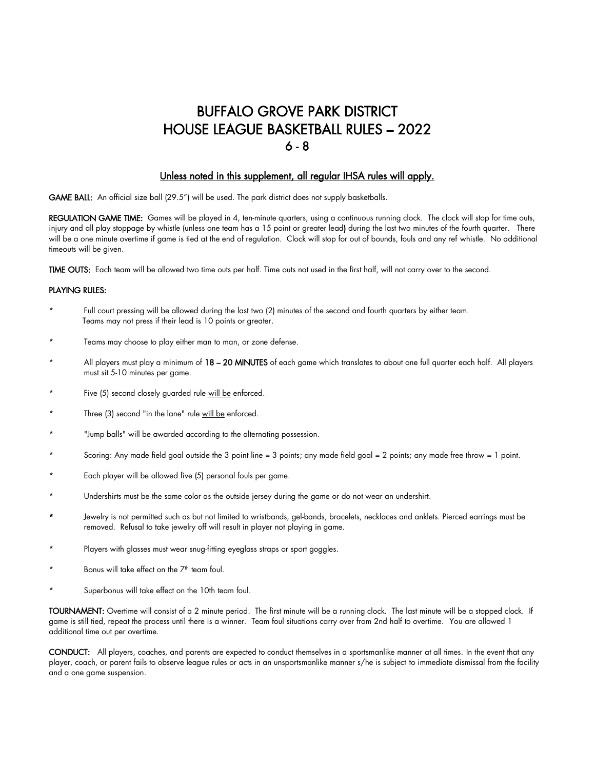# BUFFALO GROVE PARK DISTRICT HOUSE LEAGUE BASKETBALL RULES – 2022  $6 - 8$

#### Unless noted in this supplement, all regular IHSA rules will apply.

GAME BALL: An official size ball (29.5") will be used. The park district does not supply basketballs.

REGULATION GAME TIME: Games will be played in 4, ten-minute quarters, using a continuous running clock. The clock will stop for time outs, injury and all play stoppage by whistle (unless one team has a 15 point or greater lead) during the last two minutes of the fourth quarter. There will be a one minute overtime if game is tied at the end of regulation. Clock will stop for out of bounds, fouls and any ref whistle. No additional timeouts will be given.

TIME OUTS: Each team will be allowed two time outs per half. Time outs not used in the first half, will not carry over to the second.

#### PLAYING RULES:

- Full court pressing will be allowed during the last two (2) minutes of the second and fourth quarters by either team. Teams may not press if their lead is 10 points or greater.
- Teams may choose to play either man to man, or zone defense.
- All players must play a minimum of 18 20 MINUTES of each game which translates to about one full quarter each half. All players must sit 5-10 minutes per game.
- Five (5) second closely guarded rule will be enforced.
- Three (3) second "in the lane" rule will be enforced.
- \* "Jump balls" will be awarded according to the alternating possession.
- Scoring: Any made field goal outside the 3 point line = 3 points; any made field goal = 2 points; any made free throw = 1 point.
- Each player will be allowed five (5) personal fouls per game.
- Undershirts must be the same color as the outside jersey during the game or do not wear an undershirt.
- Jewelry is not permitted such as but not limited to wristbands, gel-bands, bracelets, necklaces and anklets. Pierced earrings must be removed. Refusal to take jewelry off will result in player not playing in game.
- Players with glasses must wear snug-fitting eyeglass straps or sport goggles.
- Bonus will take effect on the  $7<sup>th</sup>$  team foul.
- Superbonus will take effect on the 10th team foul.

TOURNAMENT: Overtime will consist of a 2 minute period. The first minute will be a running clock. The last minute will be a stopped clock. If game is still tied, repeat the process until there is a winner. Team foul situations carry over from 2nd half to overtime. You are allowed 1 additional time out per overtime.

CONDUCT: All players, coaches, and parents are expected to conduct themselves in a sportsmanlike manner at all times. In the event that any player, coach, or parent fails to observe league rules or acts in an unsportsmanlike manner s/he is subject to immediate dismissal from the facility and a one game suspension.